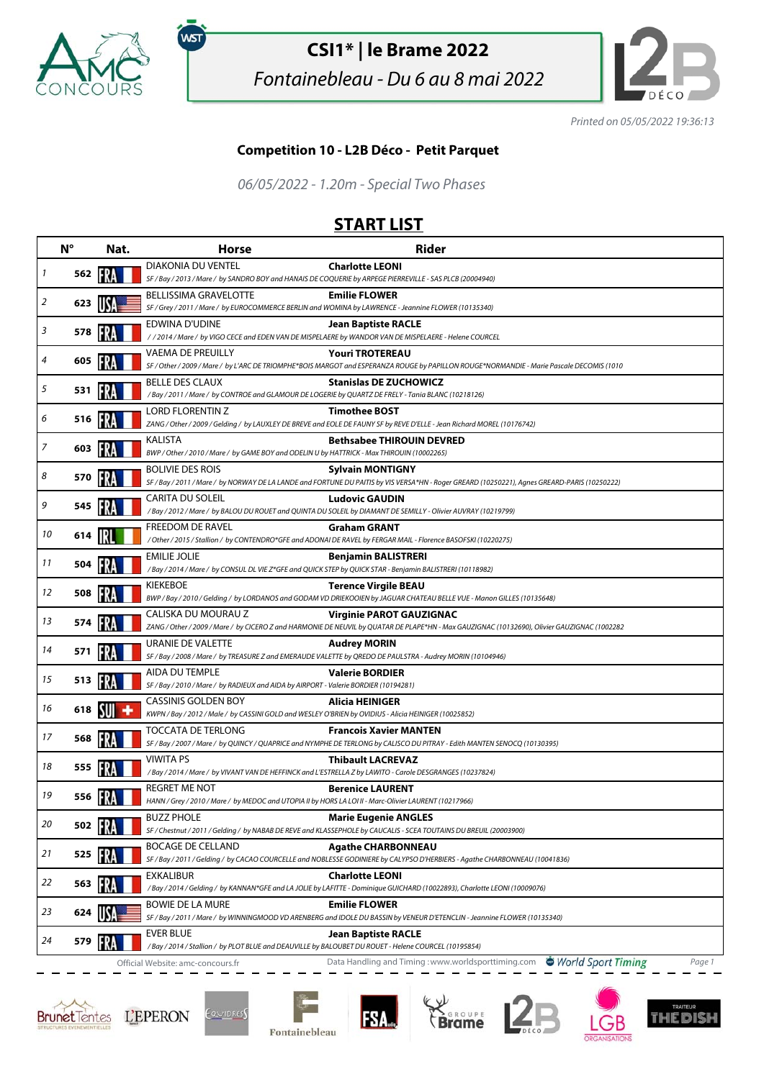

,<br>wsт

## **CSI1\* | le Brame 2022**

Fontainebleau - Du 6 au 8 mai 2022



Printed on 05/05/2022 19:36:13

## **Competition 10 - L2B Déco - Petit Parquet**

06/05/2022 - 1.20m - Special Two Phases

## **START LIST**

|    | $N^{\circ}$    | Nat. | <b>Horse</b>                                                                                                                               | <b>Rider</b>                                                                                                                                                                    |
|----|----------------|------|--------------------------------------------------------------------------------------------------------------------------------------------|---------------------------------------------------------------------------------------------------------------------------------------------------------------------------------|
| 1  | 562            |      | <b>DIAKONIA DU VENTEL</b><br>SF / Bay / 2013 / Mare / by SANDRO BOY and HANAIS DE COQUERIE by ARPEGE PIERREVILLE - SAS PLCB (20004940)     | <b>Charlotte LEONI</b>                                                                                                                                                          |
| 2  | 623            |      | <b>BELLISSIMA GRAVELOTTE</b><br>SF / Grey / 2011 / Mare / by EUROCOMMERCE BERLIN and WOMINA by LAWRENCE - Jeannine FLOWER (10135340)       | <b>Emilie FLOWER</b>                                                                                                                                                            |
| 3  | 578            | FR.  | EDWINA D'UDINE                                                                                                                             | <b>Jean Baptiste RACLE</b><br>/ / 2014 / Mare / by VIGO CECE and EDEN VAN DE MISPELAERE by WANDOR VAN DE MISPELAERE - Helene COURCEL                                            |
| 4  | 605            | FRA  | <b>VAEMA DE PREUILLY</b>                                                                                                                   | <b>Youri TROTEREAU</b><br>SF / Other / 2009 / Mare / by L'ARC DE TRIOMPHE*BOIS MARGOT and ESPERANZA ROUGE by PAPILLON ROUGE*NORMANDIE - Marie Pascale DECOMIS (1010             |
| 5  | 531            |      | <b>BELLE DES CLAUX</b><br>/Bay / 2011 / Mare / by CONTROE and GLAMOUR DE LOGERIE by QUARTZ DE FRELY - Tania BLANC (10218126)               | <b>Stanislas DE ZUCHOWICZ</b>                                                                                                                                                   |
| 6  | 516            | FRA  | <b>LORD FLORENTIN Z</b>                                                                                                                    | <b>Timothee BOST</b>                                                                                                                                                            |
|    |                |      | <b>KALISTA</b>                                                                                                                             | ZANG / Other / 2009 / Gelding / by LAUXLEY DE BREVE and EOLE DE FAUNY SF by REVE D'ELLE - Jean Richard MOREL (10176742)<br><b>Bethsabee THIROUIN DEVRED</b>                     |
| 7  | 603 <b>17</b>  |      | BWP / Other / 2010 / Mare / by GAME BOY and ODELIN U by HATTRICK - Max THIROUIN (10002265)<br><b>BOLIVIE DES ROIS</b>                      | <b>Sylvain MONTIGNY</b>                                                                                                                                                         |
| 8  | 570            |      |                                                                                                                                            | SF / Bay / 2011 / Mare / by NORWAY DE LA LANDE and FORTUNE DU PAITIS by VIS VERSA*HN - Roger GREARD (10250221), Agnes GREARD-PARIS (10250222)                                   |
| 9  | 545            | -13  | CARITA DU SOLEIL                                                                                                                           | <b>Ludovic GAUDIN</b><br>/ Bay / 2012 / Mare / by BALOU DU ROUET and QUINTA DU SOLEIL by DIAMANT DE SEMILLY - Olivier AUVRAY (10219799)                                         |
| 10 | 614            |      | <b>FREEDOM DE RAVEL</b>                                                                                                                    | <b>Graham GRANT</b><br>/Other / 2015 / Stallion / by CONTENDRO*GFE and ADONAI DE RAVEL by FERGAR MAIL - Florence BASOFSKI (10220275)                                            |
| 11 | 504            |      | EMILIE JOLIE<br>/Bay / 2014 / Mare / by CONSUL DL VIE Z*GFE and QUICK STEP by QUICK STAR - Benjamin BALISTRERI (10118982)                  | <b>Benjamin BALISTRERI</b>                                                                                                                                                      |
| 12 | 508            |      | <b>KIEKEBOE</b>                                                                                                                            | <b>Terence Virgile BEAU</b><br>BWP / Bay / 2010 / Gelding / by LORDANOS and GODAM VD DRIEKOOIEN by JAGUAR CHATEAU BELLE VUE - Manon GILLES (10135648)                           |
| 13 | 574            |      | CALISKA DU MOURAU Z                                                                                                                        | <b>Virginie PAROT GAUZIGNAC</b><br>ZANG / Other / 2009 / Mare / by CICERO Z and HARMONIE DE NEUVIL by QUATAR DE PLAPE*HN - Max GAUZIGNAC (10132690), Olivier GAUZIGNAC (1002282 |
| 14 | 571            |      | URANIE DE VALETTE                                                                                                                          | <b>Audrey MORIN</b><br>SF / Bay / 2008 / Mare / by TREASURE Z and EMERAUDE VALETTE by QREDO DE PAULSTRA - Audrey MORIN (10104946)                                               |
| 15 | 513            | FRA  | AIDA DU TEMPLE                                                                                                                             | <b>Valerie BORDIER</b>                                                                                                                                                          |
| 16 | 618 <b>NII</b> |      | SF / Bay / 2010 / Mare / by RADIEUX and AIDA by AIRPORT - Valerie BORDIER (10194281)<br><b>CASSINIS GOLDEN BOY</b>                         | <b>Alicia HEINIGER</b>                                                                                                                                                          |
|    |                |      | KWPN / Bay / 2012 / Male / by CASSINI GOLD and WESLEY O'BRIEN by OVIDIUS - Alicia HEINIGER (10025852)<br>TOCCATA DE TERLONG                | <b>Francois Xavier MANTEN</b>                                                                                                                                                   |
| 17 | 568            |      | <b>VIWITA PS</b>                                                                                                                           | SF / Bay / 2007 / Mare / by QUINCY / QUAPRICE and NYMPHE DE TERLONG by CALISCO DU PITRAY - Edith MANTEN SENOCQ (10130395)                                                       |
| 18 | 555            |      | / Bay / 2014 / Mare / by VIVANT VAN DE HEFFINCK and L'ESTRELLA Z by LAWITO - Carole DESGRANGES (10237824)                                  | <b>Thibault LACREVAZ</b>                                                                                                                                                        |
| 19 | 556            |      | <b>REGRET ME NOT</b><br>HANN / Grey / 2010 / Mare / by MEDOC and UTOPIA II by HORS LA LOI II - Marc-Olivier LAURENT (10217966)             | <b>Berenice LAURENT</b>                                                                                                                                                         |
| 20 | 502            | FRA  | <b>BUZZ PHOLE</b>                                                                                                                          | <b>Marie Eugenie ANGLES</b><br>SF / Chestnut / 2011 / Gelding / by NABAB DE REVE and KLASSEPHOLE by CAUCALIS - SCEA TOUTAINS DU BREUIL (20003900)                               |
| 21 | 525 1          |      | <b>BOCAGE DE CELLAND</b>                                                                                                                   | <b>Agathe CHARBONNEAU</b><br>SF / Bay / 2011 / Gelding / by CACAO COURCELLE and NOBLESSE GODINIERE by CALYPSO D'HERBIERS - Agathe CHARBONNEAU (10041836)                        |
| 22 | 563            |      | EXKALIBUR                                                                                                                                  | <b>Charlotte LEONI</b><br>/Bay / 2014 / Gelding / by KANNAN*GFE and LA JOLIE by LAFITTE - Dominique GUICHARD (10022893), Charlotte LEONI (10009076)                             |
| 23 | 624            |      | BOWIE DE LA MURE                                                                                                                           | <b>Emilie FLOWER</b><br>SF / Bay / 2011 / Mare / by WINNINGMOOD VD ARENBERG and IDOLE DU BASSIN by VENEUR D'ETENCLIN - Jeannine FLOWER (10135340)                               |
| 24 | 579            |      | <b>EVER BLUE</b>                                                                                                                           | Jean Baptiste RACLE                                                                                                                                                             |
|    |                |      | / Bay / 2014 / Stallion / by PLOT BLUE and DEAUVILLE by BALOUBET DU ROUET - Helene COURCEL (10195854)<br>Official Website: amc-concours.fr | Data Handling and Timing: www.worldsporttiming.com World Sport Timing<br>Page 1                                                                                                 |







**FSA**